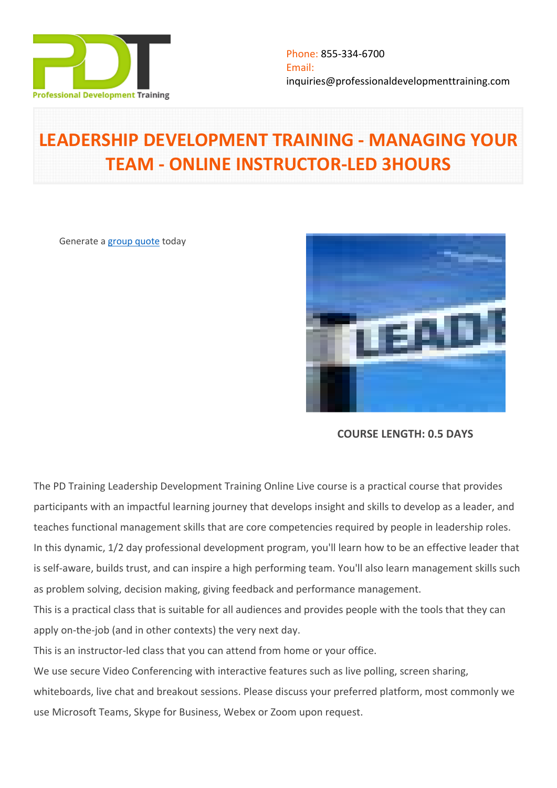

# **LEADERSHIP DEVELOPMENT TRAINING - MANAGING YOUR TEAM - ONLINE INSTRUCTOR-LED 3HOURS**

Generate a [group quote](https://professionaldevelopmenttraining.com/inhouse-training-quote?cse=PDTL2718_C) today



**COURSE LENGTH: 0.5 DAYS**

The PD Training Leadership Development Training Online Live course is a practical course that provides participants with an impactful learning journey that develops insight and skills to develop as a leader, and teaches functional management skills that are core competencies required by people in leadership roles. In this dynamic, 1/2 day professional development program, you'll learn how to be an effective leader that is self-aware, builds trust, and can inspire a high performing team. You'll also learn management skills such as problem solving, decision making, giving feedback and performance management.

This is a practical class that is suitable for all audiences and provides people with the tools that they can apply on-the-job (and in other contexts) the very next day.

This is an instructor-led class that you can attend from home or your office.

We use secure Video Conferencing with interactive features such as live polling, screen sharing,

whiteboards, live chat and breakout sessions. Please discuss your preferred platform, most commonly we use Microsoft Teams, Skype for Business, Webex or Zoom upon request.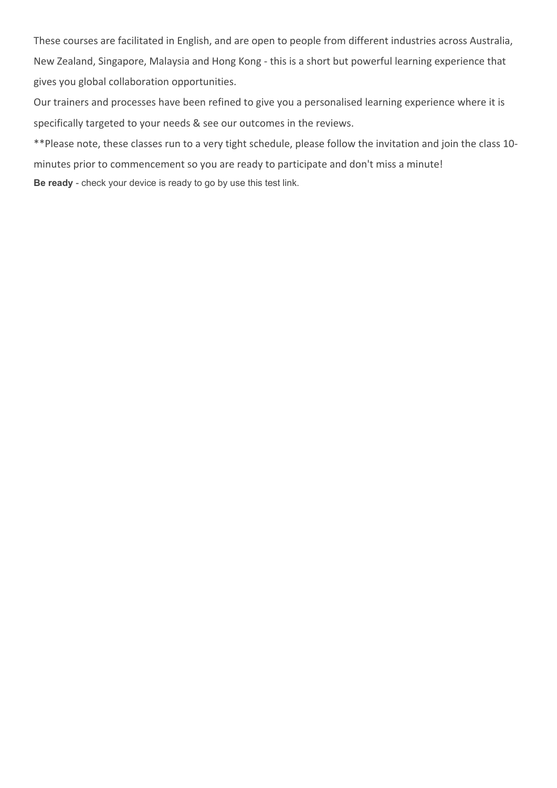These courses are facilitated in English, and are open to people from different industries across Australia, New Zealand, Singapore, Malaysia and Hong Kong - this is a short but powerful learning experience that gives you global collaboration opportunities.

Our trainers and processes have been refined to give you a personalised learning experience where it is specifically targeted to your needs & see our outcomes in the reviews.

\*\*Please note, these classes run to a very tight schedule, please follow the invitation and join the class 10 minutes prior to commencement so you are ready to participate and don't miss a minute! **Be ready** - check your device is ready to go by use this [test link](https://zoom.us/test).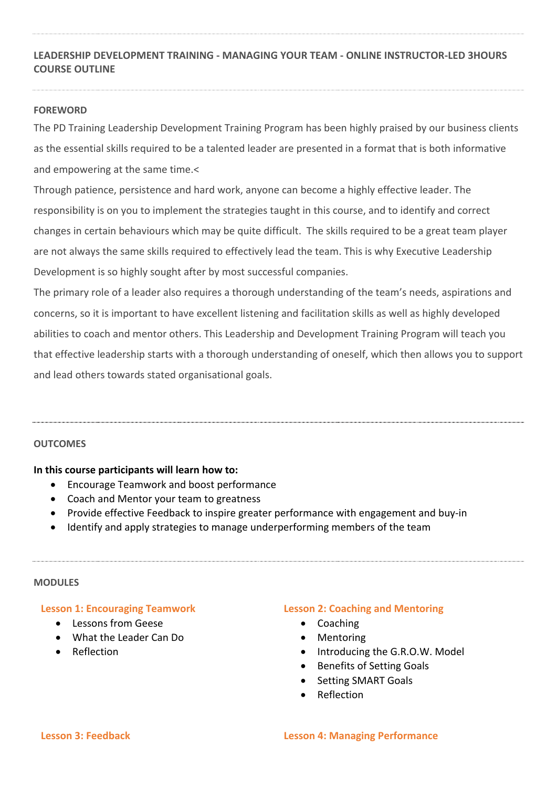# **LEADERSHIP DEVELOPMENT TRAINING - MANAGING YOUR TEAM - ONLINE INSTRUCTOR-LED 3HOURS COURSE OUTLINE**

## **FOREWORD**

The PD Training Leadership Development Training Program has been highly praised by our business clients as the essential skills required to be a talented leader are presented in a format that is both informative and empowering at the same time.<

Through patience, persistence and hard work, anyone can become a highly effective leader. The responsibility is on you to implement the strategies taught in this course, and to identify and correct changes in certain behaviours which may be quite difficult. The skills required to be a great team player are not always the same skills required to effectively lead the team. This is why Executive Leadership Development is so highly sought after by most successful companies.

The primary role of a leader also requires a thorough understanding of the team's needs, aspirations and concerns, so it is important to have excellent listening and facilitation skills as well as highly developed abilities to coach and mentor others. This Leadership and Development Training Program will teach you that effective leadership starts with a thorough understanding of oneself, which then allows you to support and lead others towards stated organisational goals.

## **OUTCOMES**

## **In this course participants will learn how to:**

- Encourage Teamwork and boost performance
- Coach and Mentor your team to greatness
- Provide effective Feedback to inspire greater performance with engagement and buy-in
- Identify and apply strategies to manage underperforming members of the team

#### **MODULES**

#### **Lesson 1: Encouraging Teamwork**

- **Communist Lessons from Geese**
- What the Leader Can Do
- Reflection

#### **Lesson 2: Coaching and Mentoring**

- Coaching
- Mentoring
- Introducing the G.R.O.W. Model
- Benefits of Setting Goals
- Setting SMART Goals
- Reflection